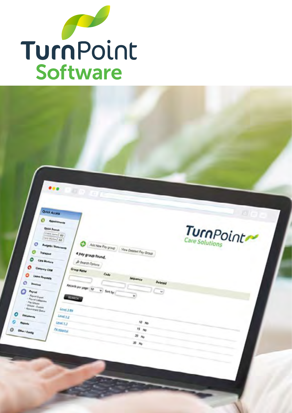

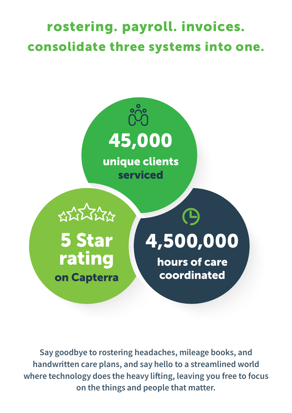## rostering. payroll. invoices. consolidate three systems into one.



Say goodbye to rostering headaches, mileage books, and handwritten care plans, and say hello to a streamlined world where technology does the heavy lifting, leaving you free to focus on the things and people that matter.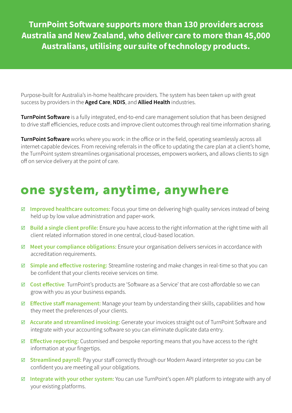TurnPoint Software supports more than 130 providers across Australia and New Zealand, who deliver care to more than 45,000 Australians, utilising our suite of technology products.

Purpose-built for Australia's in-home healthcare providers. The system has been taken up with great success by providers in the Aged Care, NDIS, and Allied Health industries.

**TurnPoint Software** is a fully integrated, end-to-end care management solution that has been designed to drive staff efficiencies, reduce costs and improve client outcomes through real time information sharing.

TurnPoint Software works where you work: in the office or in the field, operating seamlessly across all internet-capable devices. From receiving referrals in the office to updating the care plan at a client's home, the TurnPoint system streamlines organisational processes, empowers workers, and allows clients to sign off on service delivery at the point of care.

## one system, anytime, anywhere

- **Improved healthcare outcomes:** Focus your time on delivering high quality services instead of being held up by low value administration and paper-work.
- $\boxtimes$  Build a single client profile: Ensure you have access to the right information at the right time with all client related information stored in one central, cloud-based location.
- $\boxtimes$  Meet your compliance obligations: Ensure your organisation delivers services in accordance with accreditation requirements.
- $\boxtimes$  Simple and effective rostering: Streamline rostering and make changes in real-time so that you can be confident that your clients receive services on time.
- $\boxtimes$  **Cost effective**: TurnPoint's products are 'Software as a Service' that are cost-affordable so we can grow with you as your business expands.
- **Effective staff management:** Manage your team by understanding their skills, capabilities and how they meet the preferences of your clients.
- Accurate and streamlined invoicing: Generate your invoices straight out of TurnPoint Software and integrate with your accounting software so you can eliminate duplicate data entry.
- **Effective reporting:** Customised and bespoke reporting means that you have access to the right information at your fingertips.
- $\boxtimes$  **Streamlined payroll:** Pay your staff correctly through our Modern Award interpreter so you can be confident you are meeting all your obligations.
- $\boxtimes$  **Integrate with your other system:** You can use TurnPoint's open API platform to integrate with any of your existing platforms.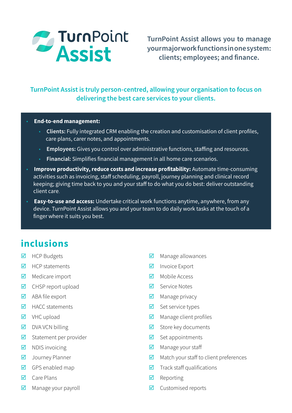

TurnPoint Assist allows you to manage your major work functions in one system: clients; employees; and finance.

### TurnPoint Assist is truly person-centred, allowing your organisation to focus on delivering the best care services to your clients.

#### • End-to-end management:

- Clients: Fully integrated CRM enabling the creation and customisation of client profiles, care plans, carer notes, and appointments.
- Employees: Gives you control over administrative functions, staffing and resources.
- Financial: Simplifies financial management in all home care scenarios.
- Improve productivity, reduce costs and increase profitability: Automate time-consuming activities such as invoicing, staff scheduling, payroll, journey planning and clinical record keeping; giving time back to you and your staff to do what you do best: deliver outstanding client care.
- Easy-to-use and access: Undertake critical work functions anytime, anywhere, from any device. TurnPoint Assist allows you and your team to do daily work tasks at the touch of a finger where it suits you best.

## inclusions

- $HCP$  Budgets
- $HCP$  statements
- $\blacksquare$  Medicare import
- $\boxtimes$  CHSP report upload
- ABA file export
- $HACC$  statements
- $\nabla$  VHC upload
- $\nabla$  DVA VCN billing
- $\boxtimes$  Statement per provider
- $\nabla$  NDIS invoicing
- **V** Journey Planner
- $\boxtimes$  GPS enabled map
- $\Box$  Care Plans
- $\boxtimes$  Manage your payroll
- $\blacksquare$  Manage allowances
- $\blacksquare$  Invoice Export
- $\blacksquare$  Mobile Access
- Service Notes
- $\blacksquare$  Manage privacy
- $\boxtimes$  Set service types
- $\blacksquare$  Manage client profiles
- $\blacksquare$  Store key documents
- $\triangleright$  Set appointments
- $\boxtimes$  Manage your staff
- $\blacksquare$  Match your staff to client preferences
- $\triangledown$  Track staff qualifications
- $\blacksquare$  Reporting
- $\blacksquare$  Customised reports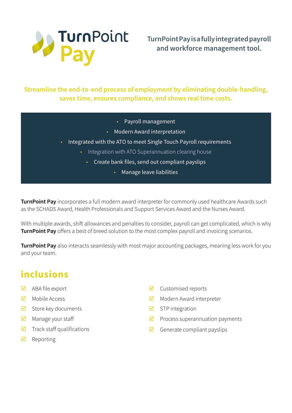

TurnPoint Pay is a fully integrated payroll and workforce management tool.

## Streamline the end-to-end process of employment by eliminating double-handling, saves time, ensures compliance, and shows real time costs.

- Payroll management
- Modern Award interpretation
- Integrated with the ATO to meet Single Touch Payroll requirements
	- Integration with ATO Superannuation clearing house
		- Create bank files, send out compliant payslips
			- Manage leave liabilities

**TurnPoint Pay** incorporates a full modern award interpreter for commonly used healthcare Awards such as the SCHADS Award, Health Professionals and Support Services Award and the Nurses Award.

With multiple awards, shift allowances and penalties to consider, payroll can get complicated, which is why **TurnPoint Pay** offers a best of breed solution to the most complex payroll and invoicing scenarios.

TurnPoint Pay also interacts seamlessly with most major accounting packages, meaning less work for you and your team.

## inclusions

- ABA file export
- $\blacksquare$  Mobile Access
- $\boxtimes$  Store key documents
- $\boxtimes$  Manage your staff
- $\blacksquare$  Track staff qualifications
- $\blacksquare$  Reporting
- $\blacksquare$  Customised reports
- $\blacksquare$  Modern Award interpreter
- $\triangleright$  STP integration
- $\blacksquare$  Process superannuation payments
- $\Box$  Generate compliant payslips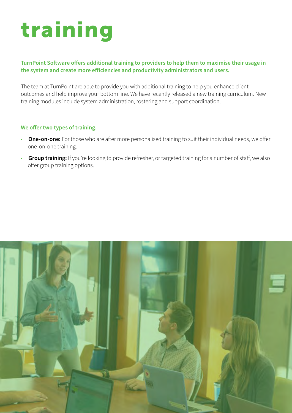# training

#### TurnPoint Software offers additional training to providers to help them to maximise their usage in the system and create more efficiencies and productivity administrators and users.

The team at TurnPoint are able to provide you with additional training to help you enhance client outcomes and help improve your bottom line. We have recently released a new training curriculum. New training modules include system administration, rostering and support coordination.

#### We offer two types of training.

- One-on-one: For those who are after more personalised training to suit their individual needs, we offer one-on-one training.
- Group training: If you're looking to provide refresher, or targeted training for a number of staff, we also offer group training options.

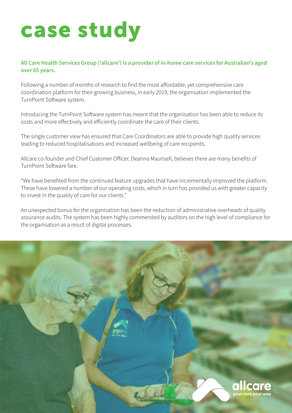## case study

### All Care Health Services Group ('allcare') is a provider of in-home care services for Australian's aged over 65 years.

Following a number of months of research to find the most affordable, yet comprehensive care coordination platform for their growing business, in early 2019, the organisation implemented the TurnPoint Software system.

Introducing the TurnPoint Software system has meant that the organisation has been able to reduce its costs and more effectively and efficiently coordinate the care of their clients.

The single customer view has ensured that Care Coordinators are able to provide high quality services leading to reduced hospitalisations and increased wellbeing of care recipients.

Allcare co-founder and Chief Customer Officer, Deanna Maunsell, believes there are many benefits of TurnPoint Software fare.

"We have benefited from the continued feature upgrades that have incrementally improved the platform. These have lowered a number of our operating costs, which in turn has provided us with greater capacity to invest in the quality of care for our clients."

An unexpected bonus for the organisation has been the reduction of administrative overheads of quality assurance audits. The system has been highly commended by auditors on the high level of compliance for the organisation as a result of digital processes.